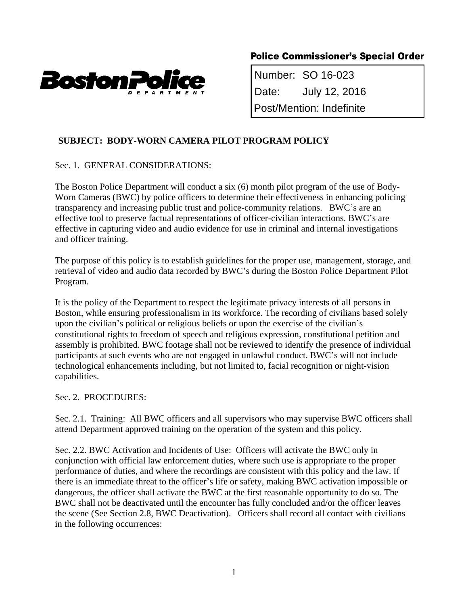

# **Police Commissioner's Special Order**

 Number: SO 16-023 Post/Mention: Indefinite

## **SUBJECT: BODY-WORN CAMERA PILOT PROGRAM POLICY**

## Sec. 1. GENERAL CONSIDERATIONS:

The Boston Police Department will conduct a six (6) month pilot program of the use of Body-Worn Cameras (BWC) by police officers to determine their effectiveness in enhancing policing transparency and increasing public trust and police-community relations. BWC's are an effective tool to preserve factual representations of officer-civilian interactions. BWC's are effective in capturing video and audio evidence for use in criminal and internal investigations and officer training.

The purpose of this policy is to establish guidelines for the proper use, management, storage, and retrieval of video and audio data recorded by BWC's during the Boston Police Department Pilot Program.

It is the policy of the Department to respect the legitimate privacy interests of all persons in Boston, while ensuring professionalism in its workforce. The recording of civilians based solely upon the civilian's political or religious beliefs or upon the exercise of the civilian's constitutional rights to freedom of speech and religious expression, constitutional petition and assembly is prohibited. BWC footage shall not be reviewed to identify the presence of individual participants at such events who are not engaged in unlawful conduct. BWC's will not include technological enhancements including, but not limited to, facial recognition or night-vision capabilities.

#### Sec. 2. PROCEDURES:

Sec. 2.1. Training: All BWC officers and all supervisors who may supervise BWC officers shall attend Department approved training on the operation of the system and this policy.

Sec. 2.2. BWC Activation and Incidents of Use: Officers will activate the BWC only in conjunction with official law enforcement duties, where such use is appropriate to the proper performance of duties, and where the recordings are consistent with this policy and the law. If there is an immediate threat to the officer's life or safety, making BWC activation impossible or dangerous, the officer shall activate the BWC at the first reasonable opportunity to do so. The BWC shall not be deactivated until the encounter has fully concluded and/or the officer leaves the scene (See Section 2.8, BWC Deactivation). Officers shall record all contact with civilians in the following occurrences: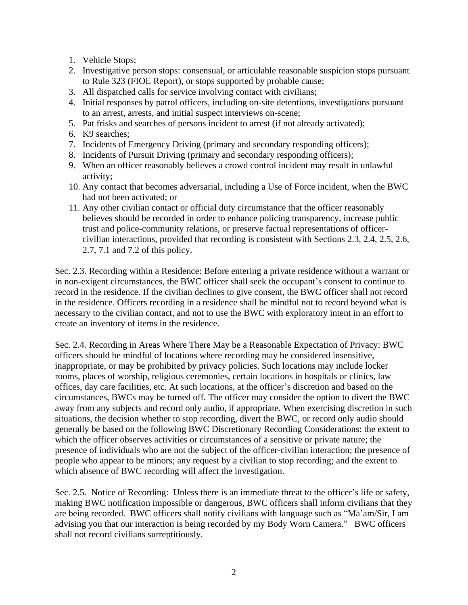- 1. Vehicle Stops;
- 2. Investigative person stops: consensual, or articulable reasonable suspicion stops pursuant to Rule 323 (FIOE Report), or stops supported by probable cause;
- 3. All dispatched calls for service involving contact with civilians;
- 4. Initial responses by patrol officers, including on-site detentions, investigations pursuant to an arrest, arrests, and initial suspect interviews on-scene;
- 5. Pat frisks and searches of persons incident to arrest (if not already activated);
- 6. K9 searches;
- 7. Incidents of Emergency Driving (primary and secondary responding officers);
- 8. Incidents of Pursuit Driving (primary and secondary responding officers);
- 9. When an officer reasonably believes a crowd control incident may result in unlawful activity;
- 10. Any contact that becomes adversarial, including a Use of Force incident, when the BWC had not been activated; or
- 11. Any other civilian contact or official duty circumstance that the officer reasonably believes should be recorded in order to enhance policing transparency, increase public trust and police-community relations, or preserve factual representations of officercivilian interactions, provided that recording is consistent with Sections 2.3, 2.4, 2.5, 2.6, 2.7, 7.1 and 7.2 of this policy.

Sec. 2.3. Recording within a Residence: Before entering a private residence without a warrant or in non-exigent circumstances, the BWC officer shall seek the occupant's consent to continue to record in the residence. If the civilian declines to give consent, the BWC officer shall not record in the residence. Officers recording in a residence shall be mindful not to record beyond what is necessary to the civilian contact, and not to use the BWC with exploratory intent in an effort to create an inventory of items in the residence.

Sec. 2.4. Recording in Areas Where There May be a Reasonable Expectation of Privacy: BWC officers should be mindful of locations where recording may be considered insensitive, inappropriate, or may be prohibited by privacy policies. Such locations may include locker rooms, places of worship, religious ceremonies, certain locations in hospitals or clinics, law offices, day care facilities, etc. At such locations, at the officer's discretion and based on the circumstances, BWCs may be turned off. The officer may consider the option to divert the BWC away from any subjects and record only audio, if appropriate. When exercising discretion in such situations, the decision whether to stop recording, divert the BWC, or record only audio should generally be based on the following BWC Discretionary Recording Considerations: the extent to which the officer observes activities or circumstances of a sensitive or private nature; the presence of individuals who are not the subject of the officer-civilian interaction; the presence of people who appear to be minors; any request by a civilian to stop recording; and the extent to which absence of BWC recording will affect the investigation.

Sec. 2.5. Notice of Recording: Unless there is an immediate threat to the officer's life or safety, making BWC notification impossible or dangerous, BWC officers shall inform civilians that they are being recorded. BWC officers shall notify civilians with language such as "Ma'am/Sir, I am advising you that our interaction is being recorded by my Body Worn Camera." BWC officers shall not record civilians surreptitiously.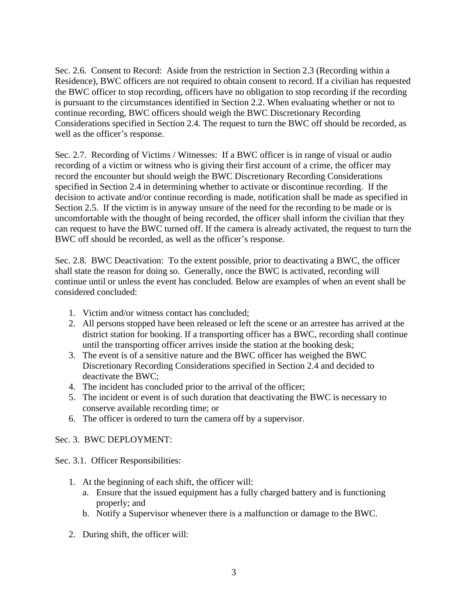Sec. 2.6. Consent to Record: Aside from the restriction in Section 2.3 (Recording within a Residence), BWC officers are not required to obtain consent to record. If a civilian has requested the BWC officer to stop recording, officers have no obligation to stop recording if the recording is pursuant to the circumstances identified in Section 2.2. When evaluating whether or not to continue recording, BWC officers should weigh the BWC Discretionary Recording Considerations specified in Section 2.4. The request to turn the BWC off should be recorded, as well as the officer's response.

Sec. 2.7. Recording of Victims / Witnesses: If a BWC officer is in range of visual or audio recording of a victim or witness who is giving their first account of a crime, the officer may record the encounter but should weigh the BWC Discretionary Recording Considerations specified in Section 2.4 in determining whether to activate or discontinue recording. If the decision to activate and/or continue recording is made, notification shall be made as specified in Section 2.5. If the victim is in anyway unsure of the need for the recording to be made or is uncomfortable with the thought of being recorded, the officer shall inform the civilian that they can request to have the BWC turned off. If the camera is already activated, the request to turn the BWC off should be recorded, as well as the officer's response.

Sec. 2.8. BWC Deactivation: To the extent possible, prior to deactivating a BWC, the officer shall state the reason for doing so. Generally, once the BWC is activated, recording will continue until or unless the event has concluded. Below are examples of when an event shall be considered concluded:

- 1. Victim and/or witness contact has concluded;
- 2. All persons stopped have been released or left the scene or an arrestee has arrived at the district station for booking. If a transporting officer has a BWC, recording shall continue until the transporting officer arrives inside the station at the booking desk;
- 3. The event is of a sensitive nature and the BWC officer has weighed the BWC Discretionary Recording Considerations specified in Section 2.4 and decided to deactivate the BWC;
- 4. The incident has concluded prior to the arrival of the officer;
- 5. The incident or event is of such duration that deactivating the BWC is necessary to conserve available recording time; or
- 6. The officer is ordered to turn the camera off by a supervisor.

#### Sec. 3. BWC DEPLOYMENT:

Sec. 3.1. Officer Responsibilities:

- 1. At the beginning of each shift, the officer will:
	- a. Ensure that the issued equipment has a fully charged battery and is functioning properly; and
	- b. Notify a Supervisor whenever there is a malfunction or damage to the BWC.
- 2. During shift, the officer will: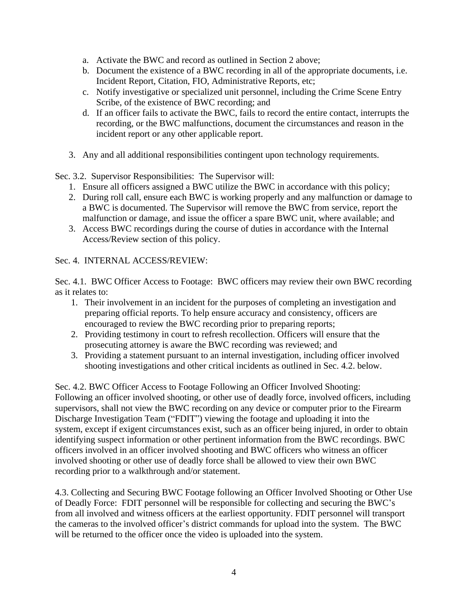- a. Activate the BWC and record as outlined in Section 2 above;
- b. Document the existence of a BWC recording in all of the appropriate documents, i.e. Incident Report, Citation, FIO, Administrative Reports, etc;
- c. Notify investigative or specialized unit personnel, including the Crime Scene Entry Scribe, of the existence of BWC recording; and
- d. If an officer fails to activate the BWC, fails to record the entire contact, interrupts the recording, or the BWC malfunctions, document the circumstances and reason in the incident report or any other applicable report.
- 3. Any and all additional responsibilities contingent upon technology requirements.

Sec. 3.2. Supervisor Responsibilities: The Supervisor will:

- 1. Ensure all officers assigned a BWC utilize the BWC in accordance with this policy;
- 2. During roll call, ensure each BWC is working properly and any malfunction or damage to a BWC is documented. The Supervisor will remove the BWC from service, report the malfunction or damage, and issue the officer a spare BWC unit, where available; and
- 3. Access BWC recordings during the course of duties in accordance with the Internal Access/Review section of this policy.

Sec. 4. INTERNAL ACCESS/REVIEW:

Sec. 4.1. BWC Officer Access to Footage: BWC officers may review their own BWC recording as it relates to:

- 1. Their involvement in an incident for the purposes of completing an investigation and preparing official reports. To help ensure accuracy and consistency, officers are encouraged to review the BWC recording prior to preparing reports;
- 2. Providing testimony in court to refresh recollection. Officers will ensure that the prosecuting attorney is aware the BWC recording was reviewed; and
- 3. Providing a statement pursuant to an internal investigation, including officer involved shooting investigations and other critical incidents as outlined in Sec. 4.2. below.

Sec. 4.2. BWC Officer Access to Footage Following an Officer Involved Shooting: Following an officer involved shooting, or other use of deadly force, involved officers, including supervisors, shall not view the BWC recording on any device or computer prior to the Firearm Discharge Investigation Team ("FDIT") viewing the footage and uploading it into the system, except if exigent circumstances exist, such as an officer being injured, in order to obtain identifying suspect information or other pertinent information from the BWC recordings. BWC officers involved in an officer involved shooting and BWC officers who witness an officer involved shooting or other use of deadly force shall be allowed to view their own BWC recording prior to a walkthrough and/or statement.

4.3. Collecting and Securing BWC Footage following an Officer Involved Shooting or Other Use of Deadly Force: FDIT personnel will be responsible for collecting and securing the BWC's from all involved and witness officers at the earliest opportunity. FDIT personnel will transport the cameras to the involved officer's district commands for upload into the system. The BWC will be returned to the officer once the video is uploaded into the system.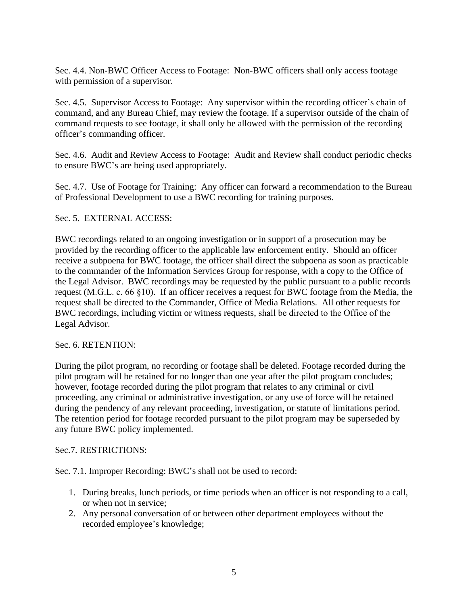Sec. 4.4. Non-BWC Officer Access to Footage: Non-BWC officers shall only access footage with permission of a supervisor.

Sec. 4.5. Supervisor Access to Footage: Any supervisor within the recording officer's chain of command, and any Bureau Chief, may review the footage. If a supervisor outside of the chain of command requests to see footage, it shall only be allowed with the permission of the recording officer's commanding officer.

Sec. 4.6. Audit and Review Access to Footage: Audit and Review shall conduct periodic checks to ensure BWC's are being used appropriately.

Sec. 4.7. Use of Footage for Training: Any officer can forward a recommendation to the Bureau of Professional Development to use a BWC recording for training purposes.

### Sec. 5. EXTERNAL ACCESS:

BWC recordings related to an ongoing investigation or in support of a prosecution may be provided by the recording officer to the applicable law enforcement entity. Should an officer receive a subpoena for BWC footage, the officer shall direct the subpoena as soon as practicable to the commander of the Information Services Group for response, with a copy to the Office of the Legal Advisor. BWC recordings may be requested by the public pursuant to a public records request (M.G.L. c. 66 §10). If an officer receives a request for BWC footage from the Media, the request shall be directed to the Commander, Office of Media Relations. All other requests for BWC recordings, including victim or witness requests, shall be directed to the Office of the Legal Advisor.

Sec. 6. RETENTION:

During the pilot program, no recording or footage shall be deleted. Footage recorded during the pilot program will be retained for no longer than one year after the pilot program concludes; however, footage recorded during the pilot program that relates to any criminal or civil proceeding, any criminal or administrative investigation, or any use of force will be retained during the pendency of any relevant proceeding, investigation, or statute of limitations period. The retention period for footage recorded pursuant to the pilot program may be superseded by any future BWC policy implemented.

#### Sec.7. RESTRICTIONS:

Sec. 7.1. Improper Recording: BWC's shall not be used to record:

- 1. During breaks, lunch periods, or time periods when an officer is not responding to a call, or when not in service;
- 2. Any personal conversation of or between other department employees without the recorded employee's knowledge;